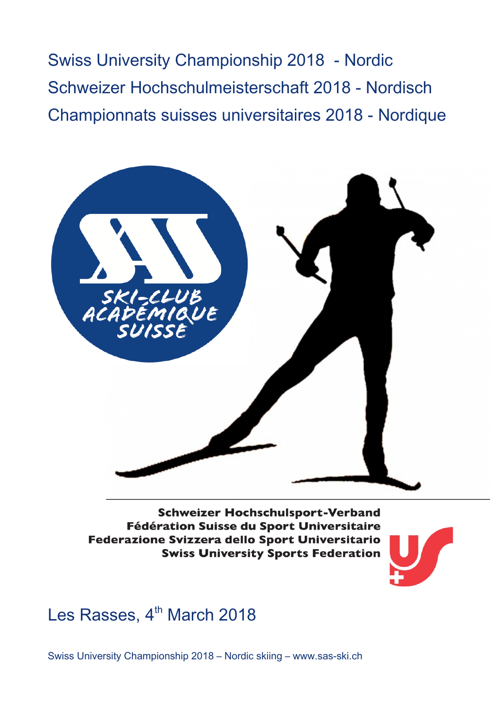Swiss University Championship 2018 - Nordic Schweizer Hochschulmeisterschaft 2018 - Nordisch Championnats suisses universitaires 2018 - Nordique



**Schweizer Hochschulsport-Verband** Fédération Suisse du Sport Universitaire Federazione Svizzera dello Sport Universitario **Swiss University Sports Federation** 



Les Rasses, 4<sup>th</sup> March 2018

Swiss University Championship 2018 – Nordic skiing – www.sas-ski.ch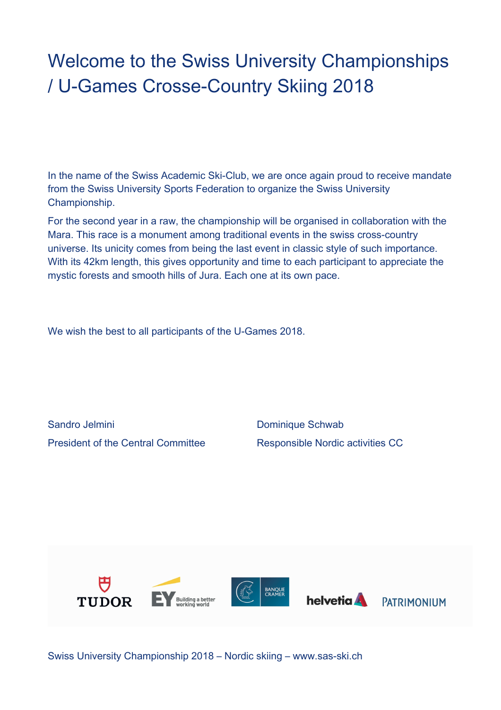## Welcome to the Swiss University Championships / U-Games Crosse-Country Skiing 2018

In the name of the Swiss Academic Ski-Club, we are once again proud to receive mandate from the Swiss University Sports Federation to organize the Swiss University Championship.

For the second year in a raw, the championship will be organised in collaboration with the Mara. This race is a monument among traditional events in the swiss cross-country universe. Its unicity comes from being the last event in classic style of such importance. With its 42km length, this gives opportunity and time to each participant to appreciate the mystic forests and smooth hills of Jura. Each one at its own pace.

We wish the best to all participants of the U-Games 2018.

Sandro Jelmini **Dominique Schwab** President of the Central Committee Responsible Nordic activities CC



Swiss University Championship 2018 – Nordic skiing – www.sas-ski.ch